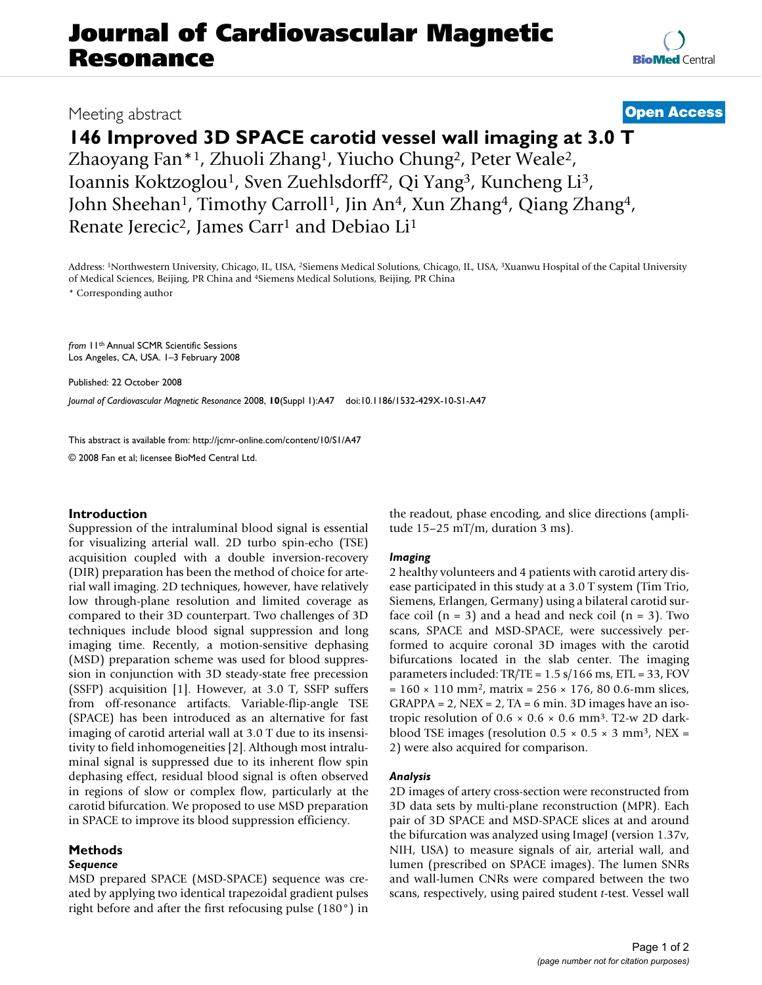# **Journal of Cardiovascular Magnetic Resonance**

## Meeting abstract **[Open Access](http://www.biomedcentral.com/info/about/charter/)**

# **146 Improved 3D SPACE carotid vessel wall imaging at 3.0 T**

Zhaoyang Fan\*1, Zhuoli Zhang1, Yiucho Chung2, Peter Weale2, Ioannis Koktzoglou1, Sven Zuehlsdorff2, Qi Yang3, Kuncheng Li3, John Sheehan<sup>1</sup>, Timothy Carroll<sup>1</sup>, Jin An<sup>4</sup>, Xun Zhang<sup>4</sup>, Qiang Zhang<sup>4</sup>, Renate Jerecic<sup>2</sup>, James Carr<sup>1</sup> and Debiao Li<sup>1</sup>

Address: 1Northwestern University, Chicago, IL, USA, 2Siemens Medical Solutions, Chicago, IL, USA, 3Xuanwu Hospital of the Capital University of Medical Sciences, Beijing, PR China and 4Siemens Medical Solutions, Beijing, PR China

\* Corresponding author

*from* 11th Annual SCMR Scientific Sessions Los Angeles, CA, USA. 1–3 February 2008

Published: 22 October 2008

*Journal of Cardiovascular Magnetic Resonance* 2008, **10**(Suppl 1):A47 doi:10.1186/1532-429X-10-S1-A47

[This abstract is available from: http://jcmr-online.com/content/10/S1/A47](http://jcmr-online.com/content/10/S1/A47)

© 2008 Fan et al; licensee BioMed Central Ltd.

#### **Introduction**

Suppression of the intraluminal blood signal is essential for visualizing arterial wall. 2D turbo spin-echo (TSE) acquisition coupled with a double inversion-recovery (DIR) preparation has been the method of choice for arterial wall imaging. 2D techniques, however, have relatively low through-plane resolution and limited coverage as compared to their 3D counterpart. Two challenges of 3D techniques include blood signal suppression and long imaging time. Recently, a motion-sensitive dephasing (MSD) preparation scheme was used for blood suppression in conjunction with 3D steady-state free precession (SSFP) acquisition [1]. However, at 3.0 T, SSFP suffers from off-resonance artifacts. Variable-flip-angle TSE (SPACE) has been introduced as an alternative for fast imaging of carotid arterial wall at 3.0 T due to its insensitivity to field inhomogeneities [2]. Although most intraluminal signal is suppressed due to its inherent flow spin dephasing effect, residual blood signal is often observed in regions of slow or complex flow, particularly at the carotid bifurcation. We proposed to use MSD preparation in SPACE to improve its blood suppression efficiency.

#### **Methods**

#### *Sequence*

MSD prepared SPACE (MSD-SPACE) sequence was created by applying two identical trapezoidal gradient pulses right before and after the first refocusing pulse (180°) in the readout, phase encoding, and slice directions (amplitude 15–25 mT/m, duration 3 ms).

#### *Imaging*

2 healthy volunteers and 4 patients with carotid artery disease participated in this study at a 3.0 T system (Tim Trio, Siemens, Erlangen, Germany) using a bilateral carotid surface coil  $(n = 3)$  and a head and neck coil  $(n = 3)$ . Two scans, SPACE and MSD-SPACE, were successively performed to acquire coronal 3D images with the carotid bifurcations located in the slab center. The imaging parameters included: TR/TE = 1.5 s/166 ms, ETL = 33, FOV  $= 160 \times 110$  mm<sup>2</sup>, matrix = 256  $\times$  176, 80 0.6-mm slices,  $GRAPPA = 2$ ,  $NEX = 2$ ,  $TA = 6$  min. 3D images have an isotropic resolution of  $0.6 \times 0.6 \times 0.6$  mm<sup>3</sup>. T2-w 2D darkblood TSE images (resolution  $0.5 \times 0.5 \times 3$  mm<sup>3</sup>, NEX = 2) were also acquired for comparison.

#### *Analysis*

2D images of artery cross-section were reconstructed from 3D data sets by multi-plane reconstruction (MPR). Each pair of 3D SPACE and MSD-SPACE slices at and around the bifurcation was analyzed using ImageJ (version 1.37v, NIH, USA) to measure signals of air, arterial wall, and lumen (prescribed on SPACE images). The lumen SNRs and wall-lumen CNRs were compared between the two scans, respectively, using paired student *t*-test. Vessel wall